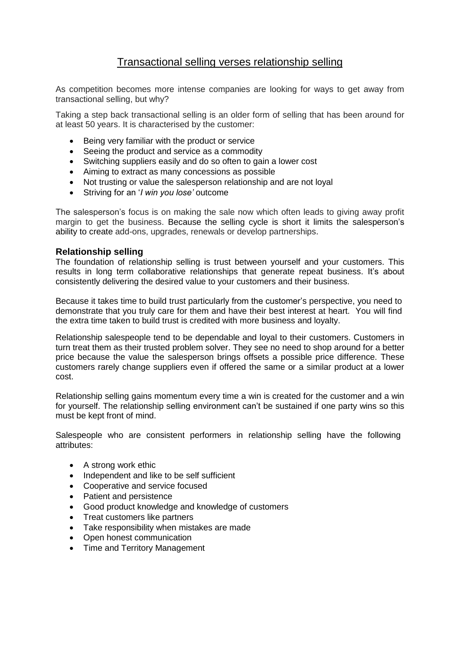## Transactional selling verses relationship selling

As competition becomes more intense companies are looking for ways to get away from transactional selling, but why?

Taking a step back transactional selling is an older form of selling that has been around for at least 50 years. It is characterised by the customer:

- Being very familiar with the product or service
- Seeing the product and service as a commodity
- Switching suppliers easily and do so often to gain a lower cost
- Aiming to extract as many concessions as possible
- Not trusting or value the salesperson relationship and are not loval
- Striving for an '*I win you lose'* outcome

The salesperson's focus is on making the sale now which often leads to giving away profit margin to get the business. Because the selling cycle is short it limits the salesperson's ability to create add-ons, upgrades, renewals or develop partnerships.

## **Relationship selling**

The foundation of relationship selling is trust between yourself and your customers. This results in long term collaborative relationships that generate repeat business. It's about consistently delivering the desired value to your customers and their business.

Because it takes time to build trust particularly from the customer's perspective, you need to demonstrate that you truly care for them and have their best interest at heart. You will find the extra time taken to build trust is credited with more business and loyalty.

Relationship salespeople tend to be dependable and loyal to their customers. Customers in turn treat them as their trusted problem solver. They see no need to shop around for a better price because the value the salesperson brings offsets a possible price difference. These customers rarely change suppliers even if offered the same or a similar product at a lower cost.

Relationship selling gains momentum every time a win is created for the customer and a win for yourself. The relationship selling environment can't be sustained if one party wins so this must be kept front of mind.

Salespeople who are consistent performers in relationship selling have the following attributes:

- A strong work ethic
- Independent and like to be self sufficient
- Cooperative and service focused
- Patient and persistence
- Good product knowledge and knowledge of customers
- Treat customers like partners
- Take responsibility when mistakes are made
- Open honest communication
- Time and Territory Management